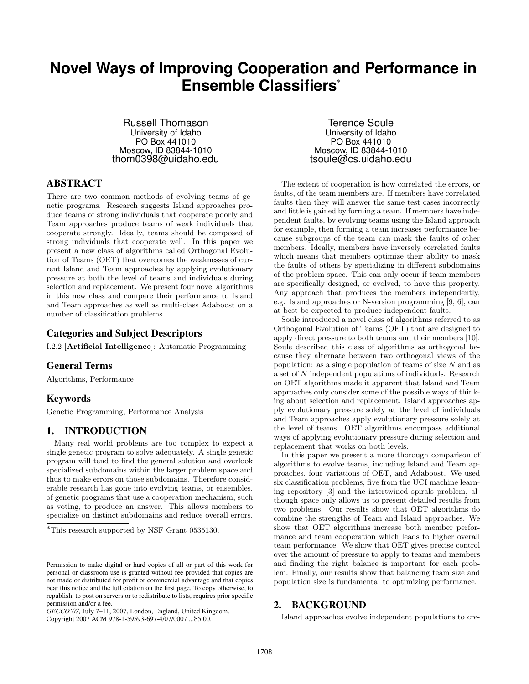# **Novel Ways of Improving Cooperation and Performance in Ensemble Classifiers**<sup>∗</sup>

Russell Thomason University of Idaho PO Box 441010 Moscow, ID 83844-1010 thom0398@uidaho.edu

# ABSTRACT

There are two common methods of evolving teams of genetic programs. Research suggests Island approaches produce teams of strong individuals that cooperate poorly and Team approaches produce teams of weak individuals that cooperate strongly. Ideally, teams should be composed of strong individuals that cooperate well. In this paper we present a new class of algorithms called Orthogonal Evolution of Teams (OET) that overcomes the weaknesses of current Island and Team approaches by applying evolutionary pressure at both the level of teams and individuals during selection and replacement. We present four novel algorithms in this new class and compare their performance to Island and Team approaches as well as multi-class Adaboost on a number of classification problems.

## Categories and Subject Descriptors

I.2.2 [Artificial Intelligence]: Automatic Programming

## General Terms

Algorithms, Performance

## Keywords

Genetic Programming, Performance Analysis

# 1. INTRODUCTION

Many real world problems are too complex to expect a single genetic program to solve adequately. A single genetic program will tend to find the general solution and overlook specialized subdomains within the larger problem space and thus to make errors on those subdomains. Therefore considerable research has gone into evolving teams, or ensembles, of genetic programs that use a cooperation mechanism, such as voting, to produce an answer. This allows members to specialize on distinct subdomains and reduce overall errors.

*GECCO'07,* July 7–11, 2007, London, England, United Kingdom. Copyright 2007 ACM 978-1-59593-697-4/07/0007 ...\$5.00.

Terence Soule University of Idaho PO Box 441010 Moscow, ID 83844-1010 tsoule@cs.uidaho.edu

The extent of cooperation is how correlated the errors, or faults, of the team members are. If members have correlated faults then they will answer the same test cases incorrectly and little is gained by forming a team. If members have independent faults, by evolving teams using the Island approach for example, then forming a team increases performance because subgroups of the team can mask the faults of other members. Ideally, members have inversely correlated faults which means that members optimize their ability to mask the faults of others by specializing in different subdomains of the problem space. This can only occur if team members are specifically designed, or evolved, to have this property. Any approach that produces the members independently, e.g. Island approaches or N-version programming [9, 6], can at best be expected to produce independent faults.

Soule introduced a novel class of algorithms referred to as Orthogonal Evolution of Teams (OET) that are designed to apply direct pressure to both teams and their members [10]. Soule described this class of algorithms as orthogonal because they alternate between two orthogonal views of the population: as a single population of teams of size  $N$  and as a set of N independent populations of individuals. Research on OET algorithms made it apparent that Island and Team approaches only consider some of the possible ways of thinking about selection and replacement. Island approaches apply evolutionary pressure solely at the level of individuals and Team approaches apply evolutionary pressure solely at the level of teams. OET algorithms encompass additional ways of applying evolutionary pressure during selection and replacement that works on both levels.

In this paper we present a more thorough comparison of algorithms to evolve teams, including Island and Team approaches, four variations of OET, and Adaboost. We used six classification problems, five from the UCI machine learning repository [3] and the intertwined spirals problem, although space only allows us to present detailed results from two problems. Our results show that OET algorithms do combine the strengths of Team and Island approaches. We show that OET algorithms increase both member performance and team cooperation which leads to higher overall team performance. We show that OET gives precise control over the amount of pressure to apply to teams and members and finding the right balance is important for each problem. Finally, our results show that balancing team size and population size is fundamental to optimizing performance.

## 2. BACKGROUND

Island approaches evolve independent populations to cre-

 $^{\ast} \mathrm{This}$  research supported by NSF Grant 0535130.

Permission to make digital or hard copies of all or part of this work for personal or classroom use is granted without fee provided that copies are not made or distributed for profit or commercial advantage and that copies bear this notice and the full citation on the first page. To copy otherwise, to republish, to post on servers or to redistribute to lists, requires prior specific permission and/or a fee.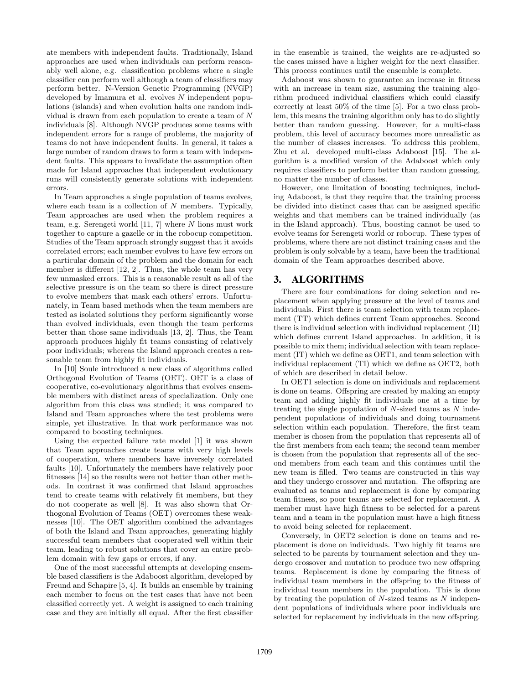ate members with independent faults. Traditionally, Island approaches are used when individuals can perform reasonably well alone, e.g. classification problems where a single classifier can perform well although a team of classifiers may perform better. N-Version Genetic Programming (NVGP) developed by Imamura et al. evolves  $N$  independent populations (islands) and when evolution halts one random individual is drawn from each population to create a team of N individuals [8]. Although NVGP produces some teams with independent errors for a range of problems, the majority of teams do not have independent faults. In general, it takes a large number of random draws to form a team with independent faults. This appears to invalidate the assumption often made for Island approaches that independent evolutionary runs will consistently generate solutions with independent errors.

In Team approaches a single population of teams evolves, where each team is a collection of  $N$  members. Typically, Team approaches are used when the problem requires a team, e.g. Serengeti world  $[11, 7]$  where  $N$  lions must work together to capture a gazelle or in the robocup competition. Studies of the Team approach strongly suggest that it avoids correlated errors; each member evolves to have few errors on a particular domain of the problem and the domain for each member is different [12, 2]. Thus, the whole team has very few unmasked errors. This is a reasonable result as all of the selective pressure is on the team so there is direct pressure to evolve members that mask each others' errors. Unfortunately, in Team based methods when the team members are tested as isolated solutions they perform significantly worse than evolved individuals, even though the team performs better than those same individuals [13, 2]. Thus, the Team approach produces highly fit teams consisting of relatively poor individuals; whereas the Island approach creates a reasonable team from highly fit individuals.

In [10] Soule introduced a new class of algorithms called Orthogonal Evolution of Teams (OET). OET is a class of cooperative, co-evolutionary algorithms that evolves ensemble members with distinct areas of specialization. Only one algorithm from this class was studied; it was compared to Island and Team approaches where the test problems were simple, yet illustrative. In that work performance was not compared to boosting techniques.

Using the expected failure rate model [1] it was shown that Team approaches create teams with very high levels of cooperation, where members have inversely correlated faults [10]. Unfortunately the members have relatively poor fitnesses [14] so the results were not better than other methods. In contrast it was confirmed that Island approaches tend to create teams with relatively fit members, but they do not cooperate as well [8]. It was also shown that Orthogonal Evolution of Teams (OET) overcomes these weaknesses [10]. The OET algorithm combined the advantages of both the Island and Team approaches, generating highly successful team members that cooperated well within their team, leading to robust solutions that cover an entire problem domain with few gaps or errors, if any.

One of the most successful attempts at developing ensemble based classifiers is the Adaboost algorithm, developed by Freund and Schapire [5, 4]. It builds an ensemble by training each member to focus on the test cases that have not been classified correctly yet. A weight is assigned to each training case and they are initially all equal. After the first classifier

in the ensemble is trained, the weights are re-adjusted so the cases missed have a higher weight for the next classifier. This process continues until the ensemble is complete.

Adaboost was shown to guarantee an increase in fitness with an increase in team size, assuming the training algorithm produced individual classifiers which could classify correctly at least 50% of the time [5]. For a two class problem, this means the training algorithm only has to do slightly better than random guessing. However, for a multi-class problem, this level of accuracy becomes more unrealistic as the number of classes increases. To address this problem, Zhu et al. developed multi-class Adaboost [15]. The algorithm is a modified version of the Adaboost which only requires classifiers to perform better than random guessing, no matter the number of classes.

However, one limitation of boosting techniques, including Adaboost, is that they require that the training process be divided into distinct cases that can be assigned specific weights and that members can be trained individually (as in the Island approach). Thus, boosting cannot be used to evolve teams for Serengeti world or robocup. These types of problems, where there are not distinct training cases and the problem is only solvable by a team, have been the traditional domain of the Team approaches described above.

# 3. ALGORITHMS

There are four combinations for doing selection and replacement when applying pressure at the level of teams and individuals. First there is team selection with team replacement (TT) which defines current Team approaches. Second there is individual selection with individual replacement (II) which defines current Island approaches. In addition, it is possible to mix them; individual selection with team replacement (IT) which we define as OET1, and team selection with individual replacement (TI) which we define as OET2, both of which are described in detail below.

In OET1 selection is done on individuals and replacement is done on teams. Offspring are created by making an empty team and adding highly fit individuals one at a time by treating the single population of  $N$ -sized teams as  $N$  independent populations of individuals and doing tournament selection within each population. Therefore, the first team member is chosen from the population that represents all of the first members from each team; the second team member is chosen from the population that represents all of the second members from each team and this continues until the new team is filled. Two teams are constructed in this way and they undergo crossover and mutation. The offspring are evaluated as teams and replacement is done by comparing team fitness, so poor teams are selected for replacement. A member must have high fitness to be selected for a parent team and a team in the population must have a high fitness to avoid being selected for replacement.

Conversely, in OET2 selection is done on teams and replacement is done on individuals. Two highly fit teams are selected to be parents by tournament selection and they undergo crossover and mutation to produce two new offspring teams. Replacement is done by comparing the fitness of individual team members in the offspring to the fitness of individual team members in the population. This is done by treating the population of  $N$ -sized teams as  $N$  independent populations of individuals where poor individuals are selected for replacement by individuals in the new offspring.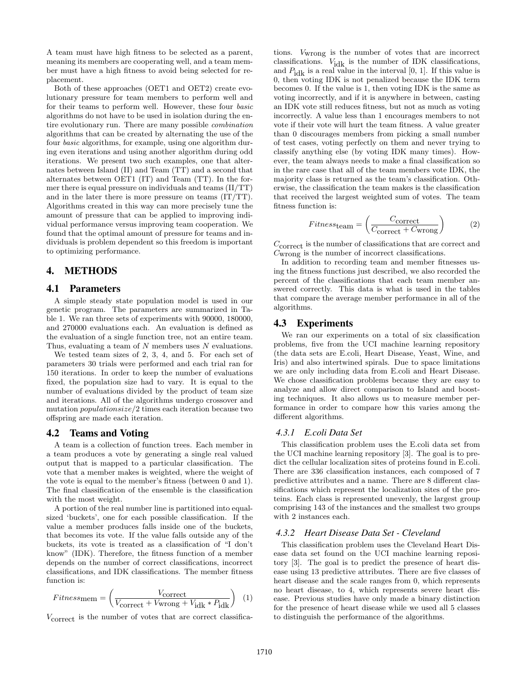A team must have high fitness to be selected as a parent, meaning its members are cooperating well, and a team member must have a high fitness to avoid being selected for replacement.

Both of these approaches (OET1 and OET2) create evolutionary pressure for team members to perform well and for their teams to perform well. However, these four basic algorithms do not have to be used in isolation during the entire evolutionary run. There are many possible combination algorithms that can be created by alternating the use of the four basic algorithms, for example, using one algorithm during even iterations and using another algorithm during odd iterations. We present two such examples, one that alternates between Island (II) and Team (TT) and a second that alternates between OET1 (IT) and Team (TT). In the former there is equal pressure on individuals and teams (II/TT) and in the later there is more pressure on teams (IT/TT). Algorithms created in this way can more precisely tune the amount of pressure that can be applied to improving individual performance versus improving team cooperation. We found that the optimal amount of pressure for teams and individuals is problem dependent so this freedom is important to optimizing performance.

# 4. METHODS

#### 4.1 Parameters

A simple steady state population model is used in our genetic program. The parameters are summarized in Table 1. We ran three sets of experiments with 90000, 180000, and 270000 evaluations each. An evaluation is defined as the evaluation of a single function tree, not an entire team. Thus, evaluating a team of  $N$  members uses  $N$  evaluations.

We tested team sizes of 2, 3, 4, and 5. For each set of parameters 30 trials were performed and each trial ran for 150 iterations. In order to keep the number of evaluations fixed, the population size had to vary. It is equal to the number of evaluations divided by the product of team size and iterations. All of the algorithms undergo crossover and mutation populationsize/2 times each iteration because two offspring are made each iteration.

## 4.2 Teams and Voting

A team is a collection of function trees. Each member in a team produces a vote by generating a single real valued output that is mapped to a particular classification. The vote that a member makes is weighted, where the weight of the vote is equal to the member's fitness (between 0 and 1). The final classification of the ensemble is the classification with the most weight.

A portion of the real number line is partitioned into equalsized 'buckets', one for each possible classification. If the value a member produces falls inside one of the buckets, that becomes its vote. If the value falls outside any of the buckets, its vote is treated as a classification of "I don't know" (IDK). Therefore, the fitness function of a member depends on the number of correct classifications, incorrect classifications, and IDK classifications. The member fitness function is:

$$
Fitness\text{mem} = \left(\frac{V_{\text{correct}}}{V_{\text{correct}} + V_{\text{wrong}} + V_{\text{idk}} * P_{\text{idk}}}\right) \tag{1}
$$

 $V_{\text{correct}}$  is the number of votes that are correct classifica-

tions. Vwrong is the number of votes that are incorrect classifications.  $V_{\text{idk}}$  is the number of IDK classifications, and  $P_{\text{idk}}$  is a real value in the interval [0, 1]. If this value is 0, then voting IDK is not penalized because the IDK term becomes 0. If the value is 1, then voting IDK is the same as voting incorrectly, and if it is anywhere in between, casting an IDK vote still reduces fitness, but not as much as voting incorrectly. A value less than 1 encourages members to not vote if their vote will hurt the team fitness. A value greater than 0 discourages members from picking a small number of test cases, voting perfectly on them and never trying to classify anything else (by voting IDK many times). However, the team always needs to make a final classification so in the rare case that all of the team members vote IDK, the majority class is returned as the team's classification. Otherwise, the classification the team makes is the classification that received the largest weighted sum of votes. The team fitness function is:

$$
Fitness_{\text{team}} = \left(\frac{C_{\text{correct}}}{C_{\text{correct}} + C_{\text{wrong}}}\right) \tag{2}
$$

 $C_{\text{correct}}$  is the number of classifications that are correct and Cwrong is the number of incorrect classifications.

In addition to recording team and member fitnesses using the fitness functions just described, we also recorded the percent of the classifications that each team member answered correctly. This data is what is used in the tables that compare the average member performance in all of the algorithms.

### 4.3 Experiments

We ran our experiments on a total of six classification problems, five from the UCI machine learning repository (the data sets are E.coli, Heart Disease, Yeast, Wine, and Iris) and also intertwined spirals. Due to space limitations we are only including data from E.coli and Heart Disease. We chose classification problems because they are easy to analyze and allow direct comparison to Island and boosting techniques. It also allows us to measure member performance in order to compare how this varies among the different algorithms.

#### *4.3.1 E.coli Data Set*

This classification problem uses the E.coli data set from the UCI machine learning repository [3]. The goal is to predict the cellular localization sites of proteins found in E.coli. There are 336 classification instances, each composed of 7 predictive attributes and a name. There are 8 different classifications which represent the localization sites of the proteins. Each class is represented unevenly, the largest group comprising 143 of the instances and the smallest two groups with 2 instances each.

#### *4.3.2 Heart Disease Data Set - Cleveland*

This classification problem uses the Cleveland Heart Disease data set found on the UCI machine learning repository [3]. The goal is to predict the presence of heart disease using 13 predictive attributes. There are five classes of heart disease and the scale ranges from 0, which represents no heart disease, to 4, which represents severe heart disease. Previous studies have only made a binary distinction for the presence of heart disease while we used all 5 classes to distinguish the performance of the algorithms.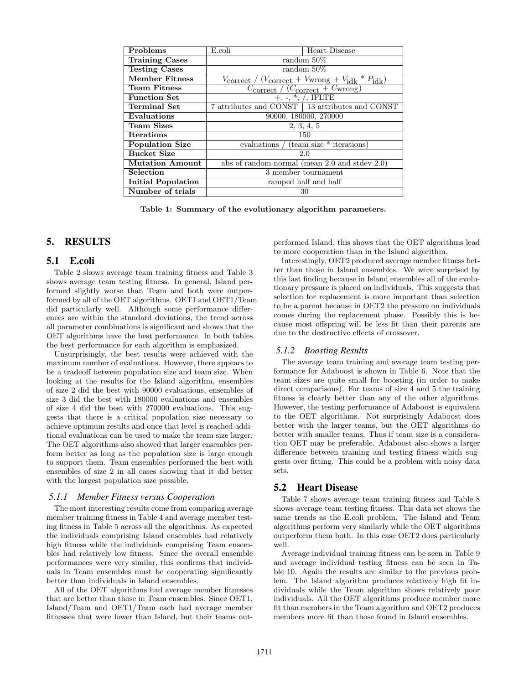| <b>Problems</b>           | Heart Disease<br>E.coli                                                                                    |                                                                  |  |  |  |
|---------------------------|------------------------------------------------------------------------------------------------------------|------------------------------------------------------------------|--|--|--|
| <b>Training Cases</b>     | $random 50\%$                                                                                              |                                                                  |  |  |  |
| <b>Testing Cases</b>      | $random 50\%$                                                                                              |                                                                  |  |  |  |
| <b>Member Fitness</b>     | $V_{\text{correct}}$ / ( $V_{\text{correct}}$ + $V_{\text{wrong}}$ + $V_{\text{idk}}$ * $P_{\text{idk}}$ ) |                                                                  |  |  |  |
| <b>Team Fitness</b>       |                                                                                                            | $C_{\text{correct}}$ / $(C_{\text{correct}} + C_{\text{wrong}})$ |  |  |  |
| <b>Function Set</b>       |                                                                                                            | $+, -, *, /, IFLTE$                                              |  |  |  |
| Terminal Set              | 7 attributes and CONST   13 attributes and CONST                                                           |                                                                  |  |  |  |
| Evaluations               | 90000, 180000, 270000                                                                                      |                                                                  |  |  |  |
| <b>Team Sizes</b>         | 2, 3, 4, 5                                                                                                 |                                                                  |  |  |  |
| <b>Iterations</b>         |                                                                                                            | 150                                                              |  |  |  |
| <b>Population Size</b>    |                                                                                                            | evaluations / (team size * iterations)                           |  |  |  |
| <b>Bucket Size</b>        |                                                                                                            | 2.0                                                              |  |  |  |
| <b>Mutation Amount</b>    |                                                                                                            | abs of random normal (mean $2.0$ and stdev $2.0$ )               |  |  |  |
| Selection                 | 3 member tournament                                                                                        |                                                                  |  |  |  |
| <b>Initial Population</b> | ramped half and half                                                                                       |                                                                  |  |  |  |
| Number of trials          |                                                                                                            | 30                                                               |  |  |  |

Table 1: Summary of the evolutionary algorithm parameters.

# 5. RESULTS

## 5.1 E.coli

Table 2 shows average team training fitness and Table 3 shows average team testing fitness. In general, Island performed slightly worse than Team and both were outperformed by all of the OET algorithms. OET1 and OET1/Team did particularly well. Although some performance differences are within the standard deviations, the trend across all parameter combinations is significant and shows that the OET algorithms have the best performance. In both tables the best performance for each algorithm is emphasized.

Unsurprisingly, the best results were achieved with the maximum number of evaluations. However, there appears to be a tradeoff between population size and team size. When looking at the results for the Island algorithm, ensembles of size 2 did the best with 90000 evaluations, ensembles of size 3 did the best with 180000 evaluations and ensembles of size 4 did the best with 270000 evaluations. This suggests that there is a critical population size necessary to achieve optimum results and once that level is reached additional evaluations can be used to make the team size larger. The OET algorithms also showed that larger ensembles perform better as long as the population size is large enough to support them. Team ensembles performed the best with ensembles of size 2 in all cases showing that it did better with the largest population size possible.

#### *5.1.1 Member Fitness versus Cooperation*

The most interesting results come from comparing average member training fitness in Table 4 and average member testing fitness in Table 5 across all the algorithms. As expected the individuals comprising Island ensembles had relatively high fitness while the individuals comprising Team ensembles had relatively low fitness. Since the overall ensemble performances were very similar, this confirms that individuals in Team ensembles must be cooperating significantly better than individuals in Island ensembles.

All of the OET algorithms had average member fitnesses that are better than those in Team ensembles. Since OET1, Island/Team and OET1/Team each had average member fitnesses that were lower than Island, but their teams outperformed Island, this shows that the OET algorithms lead to more cooperation than in the Island algorithm.

Interestingly, OET2 produced average member fitness better than those in Island ensembles. We were surprised by this last finding because in Island ensembles all of the evolutionary pressure is placed on individuals. This suggests that selection for replacement is more important than selection to be a parent because in OET2 the pressure on individuals comes during the replacement phase. Possibly this is because most offspring will be less fit than their parents are due to the destructive effects of crossover.

#### *5.1.2 Boosting Results*

The average team training and average team testing performance for Adaboost is shown in Table 6. Note that the team sizes are quite small for boosting (in order to make direct comparisons). For teams of size 4 and 5 the training fitness is clearly better than any of the other algorithms. However, the testing performance of Adaboost is equivalent to the OET algorithms. Not surprisingly Adaboost does better with the larger teams, but the OET algorithms do better with smaller teams. Thus if team size is a consideration OET may be preferable. Adaboost also shows a larger difference between training and testing fitness which suggests over fitting. This could be a problem with noisy data sets.

#### 5.2 Heart Disease

Table 7 shows average team training fitness and Table 8 shows average team testing fitness. This data set shows the same trends as the E.coli problem. The Island and Team algorithms perform very similarly while the OET algorithms outperform them both. In this case OET2 does particularly well.

Average individual training fitness can be seen in Table 9 and average individual testing fitness can be seen in Table 10. Again the results are similar to the previous problem. The Island algorithm produces relatively high fit individuals while the Team algorithm shows relatively poor individuals. All the OET algorithms produce member more fit than members in the Team algorithm and OET2 produces members more fit than those found in Island ensembles.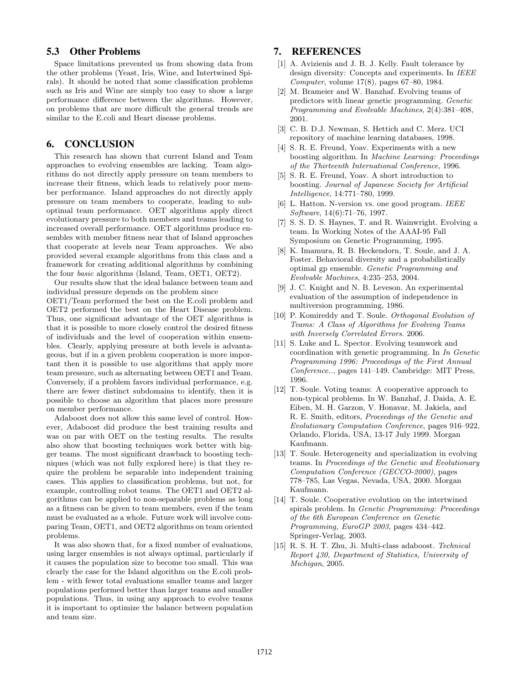## 5.3 Other Problems

Space limitations prevented us from showing data from the other problems (Yeast, Iris, Wine, and Intertwined Spirals). It should be noted that some classification problems such as Iris and Wine are simply too easy to show a large performance difference between the algorithms. However, on problems that are more difficult the general trends are similar to the E.coli and Heart disease problems.

## 6. CONCLUSION

This research has shown that current Island and Team approaches to evolving ensembles are lacking. Team algorithms do not directly apply pressure on team members to increase their fitness, which leads to relatively poor member performance. Island approaches do not directly apply pressure on team members to cooperate, leading to suboptimal team performance. OET algorithms apply direct evolutionary pressure to both members and teams leading to increased overall performance. OET algorithms produce ensembles with member fitness near that of Island approaches that cooperate at levels near Team approaches. We also provided several example algorithms from this class and a framework for creating additional algorithms by combining the four basic algorithms (Island, Team, OET1, OET2).

Our results show that the ideal balance between team and individual pressure depends on the problem since

OET1/Team performed the best on the E.coli problem and OET2 performed the best on the Heart Disease problem. Thus, one significant advantage of the OET algorithms is that it is possible to more closely control the desired fitness of individuals and the level of cooperation within ensembles. Clearly, applying pressure at both levels is advantageous, but if in a given problem cooperation is more important then it is possible to use algorithms that apply more team pressure, such as alternating between OET1 and Team. Conversely, if a problem favors individual performance, e.g. there are fewer distinct subdomains to identify, then it is possible to choose an algorithm that places more pressure on member performance.

Adaboost does not allow this same level of control. However, Adaboost did produce the best training results and was on par with OET on the testing results. The results also show that boosting techniques work better with bigger teams. The most significant drawback to boosting techniques (which was not fully explored here) is that they require the problem be separable into independent training cases. This applies to classification problems, but not, for example, controlling robot teams. The OET1 and OET2 algorithms can be applied to non-separable problems as long as a fitness can be given to team members, even if the team must be evaluated as a whole. Future work will involve comparing Team, OET1, and OET2 algorithms on team oriented problems.

It was also shown that, for a fixed number of evaluations, using larger ensembles is not always optimal, particularly if it causes the population size to become too small. This was clearly the case for the Island algorithm on the E.coli problem - with fewer total evaluations smaller teams and larger populations performed better than larger teams and smaller populations. Thus, in using any approach to evolve teams it is important to optimize the balance between population and team size.

## 7. REFERENCES

- [1] A. Avizienis and J. B. J. Kelly. Fault tolerance by design diversity: Concepts and experiments. In IEEE Computer, volume 17(8), pages 67–80, 1984.
- [2] M. Brameier and W. Banzhaf. Evolving teams of predictors with linear genetic programming. Genetic Programming and Evolvable Machines, 2(4):381–408, 2001.
- [3] C. B. D.J. Newman, S. Hettich and C. Merz. UCI repository of machine learning databases, 1998.
- [4] S. R. E. Freund, Yoav. Experiments with a new boosting algorithm. In Machine Learning: Proceedings of the Thirteenth International Conference, 1996.
- [5] S. R. E. Freund, Yoav. A short introduction to boosting. Journal of Japanese Society for Artificial Intelligence, 14:771–780, 1999.
- [6] L. Hatton. N-version vs. one good program. IEEE Software, 14(6):71–76, 1997.
- [7] S. S. D. S. Haynes, T. and R. Wainwright. Evolving a team. In Working Notes of the AAAI-95 Fall Symposium on Genetic Programming, 1995.
- [8] K. Imamura, R. B. Heckendorn, T. Soule, and J. A. Foster. Behavioral diversity and a probabilistically optimal gp ensemble. Genetic Programming and Evolvable Machines, 4:235–253, 2004.
- [9] J. C. Knight and N. B. Leveson. An experimental evaluation of the assumption of independence in multiversion programming, 1986.
- [10] P. Komireddy and T. Soule. Orthogonal Evolution of Teams: A Class of Algorithms for Evolving Teams with Inversely Correlated Errors. 2006.
- [11] S. Luke and L. Spector. Evolving teamwork and coordination with genetic programming. In In Genetic Programming 1996: Proceedings of the First Annual Conference.., pages 141–149. Cambridge: MIT Press, 1996.
- [12] T. Soule. Voting teams: A cooperative approach to non-typical problems. In W. Banzhaf, J. Daida, A. E. Eiben, M. H. Garzon, V. Honavar, M. Jakiela, and R. E. Smith, editors, Proceedings of the Genetic and Evolutionary Computation Conference, pages 916–922, Orlando, Florida, USA, 13-17 July 1999. Morgan Kaufmann.
- [13] T. Soule. Heterogeneity and specialization in evolving teams. In Proceedings of the Genetic and Evolutionary Computation Conference (GECCO-2000), pages 778–785, Las Vegas, Nevada, USA, 2000. Morgan Kaufmann.
- [14] T. Soule. Cooperative evolution on the intertwined spirals problem. In Genetic Programming: Proceedings of the 6th European Conference on Genetic Programming, EuroGP 2003, pages 434–442. Springer-Verlag, 2003.
- [15] R. S. H. T. Zhu, Ji. Multi-class adaboost. Technical Report 430, Department of Statistics, University of Michigan, 2005.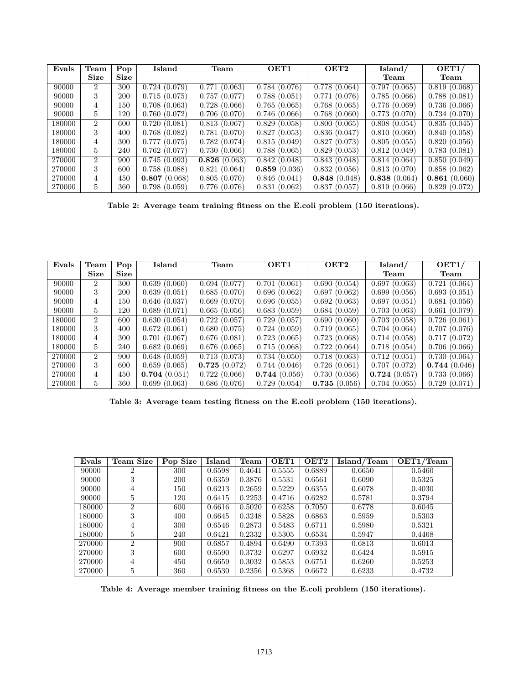| Evals  | Team                        | Pop         | Island       | Team         | OET1         | OET <sub>2</sub> | Island/      | OET1/        |
|--------|-----------------------------|-------------|--------------|--------------|--------------|------------------|--------------|--------------|
|        | <b>Size</b>                 | <b>Size</b> |              |              |              |                  | Team         | Team         |
| 90000  | 2                           | 300         | 0.724(0.079) | 0.771(0.063) | 0.784(0.076) | 0.778(0.064)     | 0.797(0.065) | 0.819(0.068) |
| 90000  | 3                           | 200         | 0.715(0.075) | 0.757(0.077) | 0.788(0.051) | 0.771(0.076)     | 0.785(0.066) | 0.788(0.081) |
| 90000  | 4                           | 150         | 0.708(0.063) | 0.728(0.066) | 0.765(0.065) | 0.768(0.065)     | 0.776(0.069) | 0.736(0.066) |
| 90000  | 5                           | 120         | 0.760(0.072) | 0.706(0.070) | 0.746(0.066) | 0.768(0.060)     | 0.773(0.070) | 0.734(0.070) |
| 180000 | $\mathcal{D}_{\mathcal{L}}$ | 600         | 0.720(0.081) | 0.813(0.067) | 0.829(0.058) | 0.800(0.065)     | 0.808(0.054) | 0.835(0.045) |
| 180000 | 3                           | 400         | 0.768(0.082) | 0.781(0.070) | 0.827(0.053) | 0.836(0.047)     | 0.810(0.060) | 0.840(0.058) |
| 180000 | 4                           | 300         | 0.777(0.075) | 0.782(0.074) | 0.815(0.049) | 0.827(0.073)     | 0.805(0.055) | 0.820(0.056) |
| 180000 | 5                           | 240         | 0.762(0.077) | 0.730(0.066) | 0.788(0.065) | 0.829(0.053)     | 0.812(0.049) | 0.783(0.081) |
| 270000 | $\mathcal{D}_{\mathcal{L}}$ | 900         | 0.745(0.093) | 0.826(0.063) | 0.842(0.048) | 0.843(0.048)     | 0.814(0.064) | 0.850(0.049) |
| 270000 | 3                           | 600         | 0.758(0.088) | 0.821(0.064) | 0.859(0.036) | 0.832(0.056)     | 0.813(0.070) | 0.858(0.062) |
| 270000 | 4                           | 450         | 0.807(0.068) | 0.805(0.070) | 0.846(0.041) | 0.848(0.048)     | 0.838(0.064) | 0.861(0.060) |
| 270000 | 5                           | 360         | 0.798(0.059) | 0.776(0.076) | 0.831(0.062) | 0.837(0.057)     | 0.819(0.066) | 0.829(0.072) |

Table 2: Average team training fitness on the E.coli problem (150 iterations).

| Evals  | Team           | Pop         | Island       | Team         | OET <sub>1</sub> | OET <sub>2</sub> | Island/      | OET1/        |
|--------|----------------|-------------|--------------|--------------|------------------|------------------|--------------|--------------|
|        | <b>Size</b>    | <b>Size</b> |              |              |                  |                  | Team         | Team         |
| 90000  | $\overline{2}$ | 300         | 0.639(0.060) | 0.694(0.077) | 0.701(0.061)     | 0.690(0.054)     | 0.697(0.063) | 0.721(0.064) |
| 90000  | 3              | 200         | 0.639(0.051) | 0.685(0.070) | 0.696(0.062)     | 0.697(0.062)     | 0.699(0.056) | 0.693(0.051) |
| 90000  | 4              | 150         | 0.646(0.037) | 0.669(0.070) | 0.696(0.055)     | 0.692(0.063)     | 0.697(0.051) | 0.681(0.056) |
| 90000  | 5              | 120         | 0.689(0.071) | 0.665(0.056) | 0.683(0.059)     | 0.684(0.059)     | 0.703(0.063) | 0.661(0.079) |
| 180000 | $\mathfrak{D}$ | 600         | 0.630(0.054) | 0.722(0.057) | 0.729(0.057)     | 0.690(0.060)     | 0.703(0.058) | 0.726(0.061) |
| 180000 | 3              | 400         | 0.672(0.061) | 0.680(0.075) | 0.724(0.059)     | 0.719(0.065)     | 0.704(0.064) | 0.707(0.076) |
| 180000 | 4              | 300         | 0.701(0.067) | 0.676(0.081) | 0.723(0.065)     | 0.723(0.068)     | 0.714(0.058) | 0.717(0.072) |
| 180000 | 5              | 240         | 0.682(0.069) | 0.676(0.065) | 0.715(0.068)     | 0.722(0.064)     | 0.718(0.054) | 0.706(0.066) |
| 270000 | $\mathfrak{D}$ | 900         | 0.648(0.059) | 0.713(0.073) | 0.734(0.050)     | 0.718(0.063)     | 0.712(0.051) | 0.730(0.064) |
| 270000 | 3              | 600         | 0.659(0.065) | 0.725(0.072) | 0.744(0.046)     | 0.726(0.061)     | 0.707(0.072) | 0.744(0.046) |
| 270000 | 4              | 450         | 0.704(0.051) | 0.722(0.066) | 0.744(0.056)     | 0.730(0.056)     | 0.724(0.057) | 0.733(0.066) |
| 270000 | 5              | 360         | 0.699(0.063) | 0.686(0.076) | 0.729(0.054)     | 0.735(0.056)     | 0.704(0.065) | 0.729(0.071) |

Table 3: Average team testing fitness on the E.coli problem (150 iterations).

| Evals  | <b>Team Size</b>            | Pop Size | Island | Team   | OET1   | OET <sub>2</sub> | Island/Team | OET1/Team |
|--------|-----------------------------|----------|--------|--------|--------|------------------|-------------|-----------|
| 90000  | $\overline{2}$              | 300      | 0.6598 | 0.4641 | 0.5555 | 0.6889           | 0.6650      | 0.5460    |
| 90000  | 3                           | 200      | 0.6359 | 0.3876 | 0.5531 | 0.6561           | 0.6090      | 0.5325    |
| 90000  | 4                           | 150      | 0.6213 | 0.2659 | 0.5229 | 0.6355           | 0.6078      | 0.4030    |
| 90000  | 5                           | 120      | 0.6415 | 0.2253 | 0.4716 | 0.6282           | 0.5781      | 0.3794    |
| 180000 | $\mathcal{D}_{\mathcal{L}}$ | 600      | 0.6616 | 0.5020 | 0.6258 | 0.7050           | 0.6778      | 0.6045    |
| 180000 | 3                           | 400      | 0.6645 | 0.3248 | 0.5828 | 0.6863           | 0.5959      | 0.5303    |
| 180000 | 4                           | 300      | 0.6546 | 0.2873 | 0.5483 | 0.6711           | 0.5980      | 0.5321    |
| 180000 | 5                           | 240      | 0.6421 | 0.2332 | 0.5305 | 0.6534           | 0.5947      | 0.4468    |
| 270000 | $\mathcal{D}_{\mathcal{L}}$ | 900      | 0.6857 | 0.4894 | 0.6490 | 0.7393           | 0.6813      | 0.6013    |
| 270000 | 3                           | 600      | 0.6590 | 0.3732 | 0.6297 | 0.6932           | 0.6424      | 0.5915    |
| 270000 | 4                           | 450      | 0.6659 | 0.3032 | 0.5853 | 0.6751           | 0.6260      | 0.5253    |
| 270000 | 5                           | 360      | 0.6530 | 0.2356 | 0.5368 | 0.6672           | 0.6233      | 0.4732    |

Table 4: Average member training fitness on the E.coli problem (150 iterations).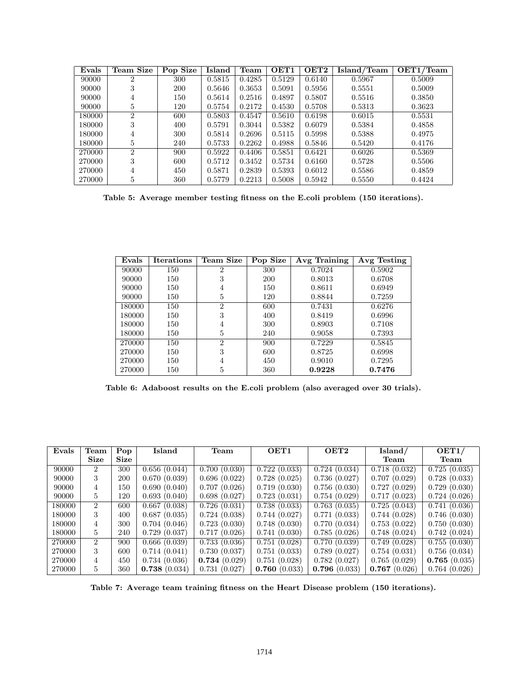| Evals  | Team Size                   | Pop Size   | Island | Team   | OET <sub>1</sub> | OET2   | Island/Team | OET1/Team |
|--------|-----------------------------|------------|--------|--------|------------------|--------|-------------|-----------|
| 90000  | $\overline{2}$              | 300        | 0.5815 | 0.4285 | 0.5129           | 0.6140 | 0.5967      | 0.5009    |
| 90000  | 3                           | <b>200</b> | 0.5646 | 0.3653 | 0.5091           | 0.5956 | 0.5551      | 0.5009    |
| 90000  | 4                           | 150        | 0.5614 | 0.2516 | 0.4897           | 0.5807 | 0.5516      | 0.3850    |
| 90000  | 5                           | 120        | 0.5754 | 0.2172 | 0.4530           | 0.5708 | 0.5313      | 0.3623    |
| 180000 | $\mathcal{D}_{\mathcal{L}}$ | 600        | 0.5803 | 0.4547 | 0.5610           | 0.6198 | 0.6015      | 0.5531    |
| 180000 | 3                           | 400        | 0.5791 | 0.3044 | 0.5382           | 0.6079 | 0.5384      | 0.4858    |
| 180000 | 4                           | 300        | 0.5814 | 0.2696 | 0.5115           | 0.5998 | 0.5388      | 0.4975    |
| 180000 | $\overline{5}$              | 240        | 0.5733 | 0.2262 | 0.4988           | 0.5846 | 0.5420      | 0.4176    |
| 270000 | $\mathfrak{D}$              | 900        | 0.5922 | 0.4406 | 0.5851           | 0.6421 | 0.6026      | 0.5369    |
| 270000 | 3                           | 600        | 0.5712 | 0.3452 | 0.5734           | 0.6160 | 0.5728      | 0.5506    |
| 270000 | 4                           | 450        | 0.5871 | 0.2839 | 0.5393           | 0.6012 | 0.5586      | 0.4859    |
| 270000 | 5                           | 360        | 0.5779 | 0.2213 | 0.5008           | 0.5942 | 0.5550      | 0.4424    |

Table 5: Average member testing fitness on the E.coli problem (150 iterations).

| Evals  | <b>Iterations</b> | Team Size                   | Pop Size | Avg Training | Avg Testing |
|--------|-------------------|-----------------------------|----------|--------------|-------------|
| 90000  | 150               | $\overline{2}$              | 300      | 0.7024       | 0.5902      |
| 90000  | 150               | 3                           | 200      | 0.8013       | 0.6708      |
| 90000  | 150               | 4                           | 150      | 0.8611       | 0.6949      |
| 90000  | 150               | 5                           | 120      | 0.8844       | 0.7259      |
| 180000 | 150               | $\mathcal{D}_{\mathcal{L}}$ | 600      | 0.7431       | 0.6276      |
| 180000 | 150               | 3                           | 400      | 0.8419       | 0.6996      |
| 180000 | 150               | 4                           | 300      | 0.8903       | 0.7108      |
| 180000 | 150               | 5                           | 240      | 0.9058       | 0.7393      |
| 270000 | 150               | $\mathcal{D}$               | 900      | 0.7229       | 0.5845      |
| 270000 | 150               | 3                           | 600      | 0.8725       | 0.6998      |
| 270000 | 150               | 4                           | 450      | 0.9010       | 0.7295      |
| 270000 | 150               | 5                           | 360      | 0.9228       | 0.7476      |

Table 6: Adaboost results on the E.coli problem (also averaged over 30 trials).

| Evals  | <b>Team</b>                 | $\bf{Pop}$  | Island       | Team         | OET <sub>1</sub> | OET <sub>2</sub> | Island/      | OET1/        |
|--------|-----------------------------|-------------|--------------|--------------|------------------|------------------|--------------|--------------|
|        | <b>Size</b>                 | <b>Size</b> |              |              |                  |                  | Team         | Team         |
| 90000  | $\mathcal{D}_{\mathcal{L}}$ | 300         | 0.656(0.044) | 0.700(0.030) | 0.722(0.033)     | 0.724(0.034)     | 0.718(0.032) | 0.725(0.035) |
| 90000  | 3                           | 200         | 0.670(0.039) | 0.696(0.022) | 0.728(0.025)     | 0.736(0.027)     | 0.707(0.029) | 0.728(0.033) |
| 90000  | 4                           | 150         | 0.690(0.040) | 0.707(0.026) | 0.719(0.030)     | 0.756(0.030)     | 0.727(0.029) | 0.729(0.030) |
| 90000  | 5                           | 120         | 0.693(0.040) | 0.698(0.027) | 0.723(0.031)     | 0.754(0.029)     | 0.717(0.023) | 0.724(0.026) |
| 180000 | $\mathcal{D}_{\mathcal{L}}$ | 600         | 0.667(0.038) | 0.726(0.031) | 0.738(0.033)     | 0.763(0.035)     | 0.725(0.043) | 0.741(0.036) |
| 180000 | 3                           | 400         | 0.687(0.035) | 0.724(0.038) | 0.744(0.027)     | 0.771(0.033)     | 0.744(0.028) | 0.746(0.030) |
| 180000 | 4                           | 300         | 0.704(0.046) | 0.723(0.030) | 0.748(0.030)     | 0.770(0.034)     | 0.753(0.022) | 0.750(0.030) |
| 180000 | $\overline{5}$              | 240         | 0.729(0.037) | 0.717(0.026) | 0.741(0.030)     | 0.785(0.026)     | 0.748(0.024) | 0.742(0.024) |
| 270000 | $\mathcal{D}_{\mathcal{L}}$ | 900         | 0.666(0.039) | 0.733(0.036) | 0.751(0.028)     | 0.770(0.039)     | 0.749(0.028) | 0.755(0.030) |
| 270000 | 3                           | 600         | 0.714(0.041) | 0.730(0.037) | 0.751(0.033)     | 0.789(0.027)     | 0.754(0.031) | 0.756(0.034) |
| 270000 | 4                           | 450         | 0.734(0.036) | 0.734(0.029) | 0.751(0.028)     | 0.782(0.027)     | 0.765(0.029) | 0.765(0.035) |
| 270000 | 5                           | 360         | 0.738(0.034) | 0.731(0.027) | 0.760(0.033)     | 0.796(0.033)     | 0.767(0.026) | 0.764(0.026) |

Table 7: Average team training fitness on the Heart Disease problem (150 iterations).